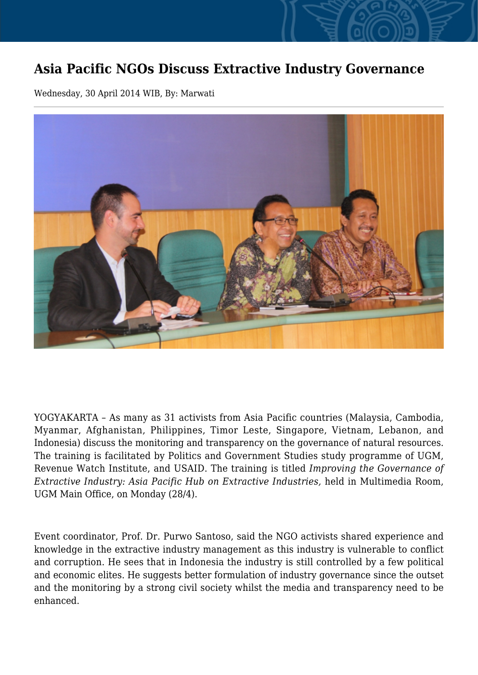## **Asia Pacific NGOs Discuss Extractive Industry Governance**

Wednesday, 30 April 2014 WIB, By: Marwati



YOGYAKARTA – As many as 31 activists from Asia Pacific countries (Malaysia, Cambodia, Myanmar, Afghanistan, Philippines, Timor Leste, Singapore, Vietnam, Lebanon, and Indonesia) discuss the monitoring and transparency on the governance of natural resources. The training is facilitated by Politics and Government Studies study programme of UGM, Revenue Watch Institute, and USAID. The training is titled *Improving the Governance of Extractive Industry: Asia Pacific Hub on Extractive Industries,* held in Multimedia Room, UGM Main Office, on Monday (28/4).

Event coordinator, Prof. Dr. Purwo Santoso, said the NGO activists shared experience and knowledge in the extractive industry management as this industry is vulnerable to conflict and corruption. He sees that in Indonesia the industry is still controlled by a few political and economic elites. He suggests better formulation of industry governance since the outset and the monitoring by a strong civil society whilst the media and transparency need to be enhanced.